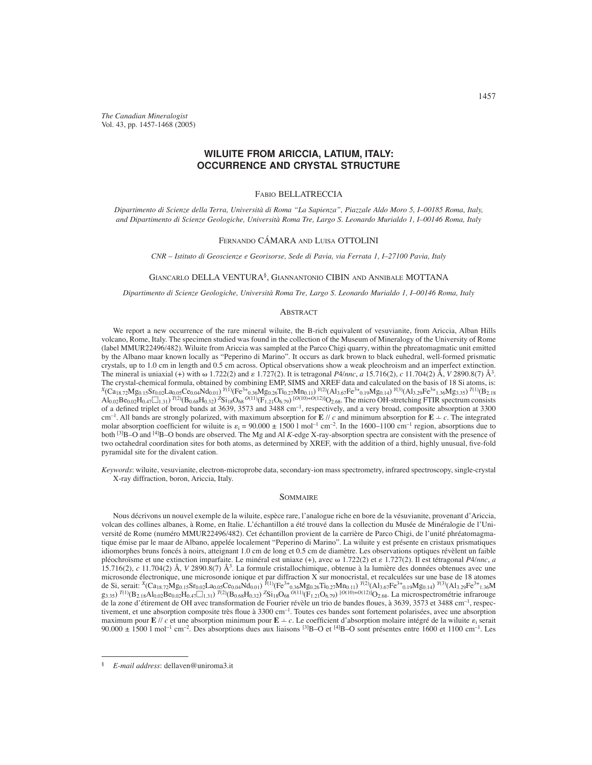*The Canadian Mineralogist* Vol. 43, pp. 1457-1468 (2005)

# **WILUITE FROM ARICCIA, LATIUM, ITALY: OCCURRENCE AND CRYSTAL STRUCTURE**

### FABIO BELLATRECCIA

*Dipartimento di Scienze della Terra, Università di Roma "La Sapienza", Piazzale Aldo Moro 5, I–00185 Roma, Italy, and Dipartimento di Scienze Geologiche, Università Roma Tre, Largo S. Leonardo Murialdo 1, I–00146 Roma, Italy*

#### FERNANDO CÁMARA AND LUISA OTTOLINI

*CNR – Istituto di Geoscienze e Georisorse, Sede di Pavia, via Ferrata 1, I–27100 Pavia, Italy*

## GIANCARLO DELLA VENTURA§ , GIANNANTONIO CIBIN AND ANNIBALE MOTTANA

*Dipartimento di Scienze Geologiche, Università Roma Tre, Largo S. Leonardo Murialdo 1, I–00146 Roma, Italy*

### ABSTRACT

We report a new occurrence of the rare mineral wiluite, the B-rich equivalent of vesuvianite, from Ariccia, Alban Hills volcano, Rome, Italy. The specimen studied was found in the collection of the Museum of Mineralogy of the University of Rome (label MMUR22496/482). Wiluite from Ariccia was sampled at the Parco Chigi quarry, within the phreatomagmatic unit emitted by the Albano maar known locally as "Peperino di Marino". It occurs as dark brown to black euhedral, well-formed prismatic crystals, up to 1.0 cm in length and 0.5 cm across. Optical observations show a weak pleochroism and an imperfect extinction. The mineral is uniaxial (+) with  $\omega$  1.722(2) and  $\varepsilon$  1.727(2). It is tetragonal *P4/nnc*, *a* 15.716(2), *c* 11.704(2) Å, *V* 2890.8(7) Å<sup>3</sup>. The crystal-chemical formula, obtained by combining EMP, SIMS and XREF data and calculated on the basis of 18 Si atoms, is: *<sup>X</sup>*(Ca18.72Mg0.15Sr0.02La0.05Ce0.04Nd0.01) *<sup>Y</sup>*(1)(Fe3+0.36Mg0.26Ti0.27Mn0.11) *Y*(2)(Al3.67Fe3+0.19Mg0.14) *Y*(3)(Al3.29Fe3+1.36Mg3.35) *T*(1)(B2.18  $AI_{0.02}Be_{0.02}H_{0.47}\Box_{1.31}$ )  $^{7(2)}(B_{0.68}H_{0.32})$   $^{2}Si_{18}Os_{68}$   $^{O(11)}(F_{1.21}O_{6.79})$   $^{[O(10)+O(12)]}O_{2.68}$ . The micro OH-stretching FTIR spectrum consists of a defined triplet of broad bands at 3639, 3573 and 3488 cm<sup>-1</sup>, respectively, and a very broad, composite absorption at 3300 cm<sup>-1</sup>. All bands are strongly polarized, with maximum absorption for **E** // *c* and minimum absorption for **E**  $\neq$  *c*. The integrated molar absorption coefficient for wiluite is  $\varepsilon_i = 90.000 \pm 1500 \, \text{I} \text{ mol}^{-1} \text{ cm}^{-2}$ . In the 1600–1100 cm<sup>-1</sup> region, absorptions due to both <sup>[3]</sup>B–O and <sup>[4]</sup>B–O bonds are observed. The Mg and Al *K*-edge X-ray-absorption spectra are consistent with the presence of two octahedral coordination sites for both atoms, as determined by XREF, with the addition of a third, highly unusual, five-fold pyramidal site for the divalent cation.

*Keywords*: wiluite, vesuvianite, electron-microprobe data, secondary-ion mass spectrometry, infrared spectroscopy, single-crystal X-ray diffraction, boron, Ariccia, Italy.

### SOMMAIRE

Nous décrivons un nouvel exemple de la wiluite, espèce rare, l'analogue riche en bore de la vésuvianite, provenant d'Ariccia, volcan des collines albanes, à Rome, en Italie. L'échantillon a été trouvé dans la collection du Musée de Minéralogie de l'Université de Rome (numéro MMUR22496/482). Cet échantillon provient de la carrière de Parco Chigi, de l'unité phréatomagmatique émise par le maar de Albano, appelée localement "Peperino di Marino". La wiluite y est présente en cristaux prismatiques idiomorphes bruns foncés à noirs, atteignant 1.0 cm de long et 0.5 cm de diamètre. Les observations optiques révèlent un faible pléochroïsme et une extinction imparfaite. Le minéral est uniaxe (+), avec  $\omega$  1.722(2) et  $\varepsilon$  1.727(2). Il est tétragonal *P4/nnc*, *a* 15.716(2), *c* 11.704(2) Å, *V* 2890.8(7) Å3. La formule cristallochimique, obtenue à la lumière des données obtenues avec une microsonde électronique, une microsonde ionique et par diffraction X sur monocristal, et recalculées sur une base de 18 atomes de Si, serait: *<sup>X</sup>*(Ca18.72Mg0.15Sr0.02La0.05Ce0.04Nd0.01) *<sup>Y</sup>*(1)(Fe3+0.36Mg0.26Ti0.27Mn0.11) *Y*(2)(Al3.67Fe3+0.19Mg0.14) *Y*(3)(Al3.29Fe3+1.36M  $g_{3,35}$ )  $T^{(1)}(B_{2,18}A_{10,02}Be_{0,02}H_{0,47}\Box_{1,31})$   $T^{(2)}(B_{0,68}H_{0,32})$   $^2Si_{18}O_{68}$   $^{O(11)}(F_{1,21}O_{6,79})$   $^{[O(10)+O(12)]}O_{2,68}$ . La microspectrométrie infrarouge de la zone d'étirement de OH avec transformation de Fourier révèle un trio de bandes floues, à 3639, 3573 et 3488 cm<sup>-1</sup>, respectivement, et une absorption composite très floue à 3300 cm<sup>-1</sup>. Toutes ces bandes sont fortement polarisées, avec une absorption maximum pour **E** // *c* et une absorption minimum pour **E**  $\pm$  *c*. Le coefficient d'absorption molaire intégré de la wiluite  $\varepsilon_i$  serait  $90.000 \pm 1500$  l mol<sup>-1</sup> cm<sup>-2</sup>. Des absorptions dues aux liaisons <sup>[3]</sup>B–O et <sup>[4]</sup>B–O sont présentes entre 1600 et 1100 cm<sup>-1</sup>. Les

<sup>§</sup> *E-mail address*: dellaven@uniroma3.it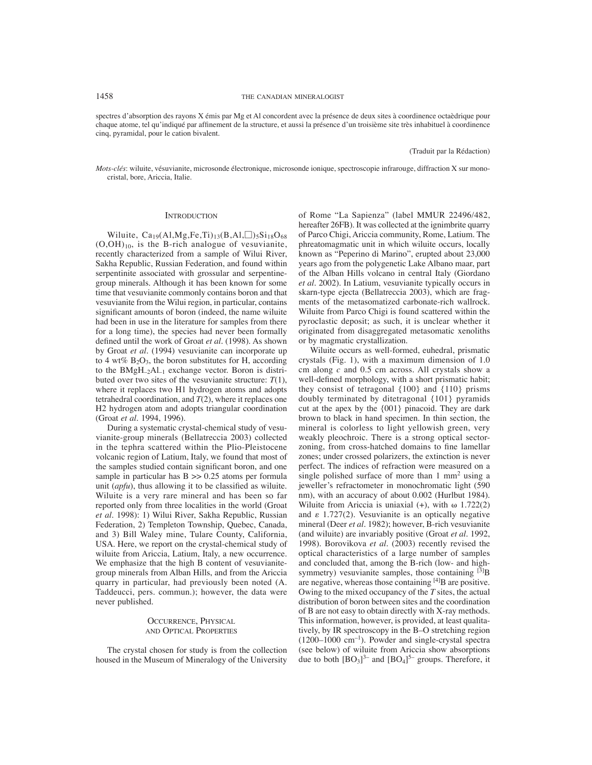spectres d'absorption des rayons X émis par Mg et Al concordent avec la présence de deux sites à coordinence octaèdrique pour chaque atome, tel qu'indiqué par affinement de la structure, et aussi la présence d'un troisième site très inhabituel à coordinence cinq, pyramidal, pour le cation bivalent.

(Traduit par la Rédaction)

*Mots-clés*: wiluite, vésuvianite, microsonde électronique, microsonde ionique, spectroscopie infrarouge, diffraction X sur monocristal, bore, Ariccia, Italie.

#### **INTRODUCTION**

Wiluite,  $Ca_{19}(A1, Mg, Fe, Ti)_{13}(B, Al, \Box)_{5}Si_{18}O_{68}$  $(O,OH)_{10}$ , is the B-rich analogue of vesuvianite, recently characterized from a sample of Wilui River, Sakha Republic, Russian Federation, and found within serpentinite associated with grossular and serpentinegroup minerals. Although it has been known for some time that vesuvianite commonly contains boron and that vesuvianite from the Wilui region, in particular, contains significant amounts of boron (indeed, the name wiluite had been in use in the literature for samples from there for a long time), the species had never been formally defined until the work of Groat et al. (1998). As shown by Groat *et al.* (1994) vesuvianite can incorporate up to 4 wt%  $B_2O_3$ , the boron substitutes for H, according to the BMgH–2Al–1 exchange vector. Boron is distributed over two sites of the vesuvianite structure:  $T(1)$ , where it replaces two H1 hydrogen atoms and adopts tetrahedral coordination, and *T*(2), where it replaces one H2 hydrogen atom and adopts triangular coordination (Groat *et al*. 1994, 1996).

During a systematic crystal-chemical study of vesuvianite-group minerals (Bellatreccia 2003) collected in the tephra scattered within the Plio-Pleistocene volcanic region of Latium, Italy, we found that most of the samples studied contain significant boron, and one sample in particular has  $B \gg 0.25$  atoms per formula unit (*apfu*), thus allowing it to be classified as wiluite. Wiluite is a very rare mineral and has been so far reported only from three localities in the world (Groat *et al.* 1998): 1) Wilui River, Sakha Republic, Russian Federation, 2) Templeton Township, Quebec, Canada, and 3) Bill Waley mine, Tulare County, California, USA. Here, we report on the crystal-chemical study of wiluite from Ariccia, Latium, Italy, a new occurrence. We emphasize that the high B content of vesuvianitegroup minerals from Alban Hills, and from the Ariccia quarry in particular, had previously been noted (A. Taddeucci, pers. commun.); however, the data were never published.

### OCCURRENCE, PHYSICAL AND OPTICAL PROPERTIES

The crystal chosen for study is from the collection housed in the Museum of Mineralogy of the University of Rome "La Sapienza" (label MMUR 22496/482, hereafter 26FB). It was collected at the ignimbrite quarry of Parco Chigi, Ariccia community, Rome, Latium. The phreatomagmatic unit in which wiluite occurs, locally known as "Peperino di Marino", erupted about 23,000 years ago from the polygenetic Lake Albano maar, part of the Alban Hills volcano in central Italy (Giordano *et al.* 2002). In Latium, vesuvianite typically occurs in skarn-type ejecta (Bellatreccia 2003), which are fragments of the metasomatized carbonate-rich wallrock. Wiluite from Parco Chigi is found scattered within the pyroclastic deposit; as such, it is unclear whether it originated from disaggregated metasomatic xenoliths or by magmatic crystallization.

Wiluite occurs as well-formed, euhedral, prismatic crystals (Fig. 1), with a maximum dimension of 1.0 cm along *c* and 0.5 cm across. All crystals show a well-defined morphology, with a short prismatic habit; they consist of tetragonal  $\{100\}$  and  $\{110\}$  prisms doubly terminated by ditetragonal {101} pyramids cut at the apex by the {001} pinacoid. They are dark brown to black in hand specimen. In thin section, the mineral is colorless to light yellowish green, very weakly pleochroic. There is a strong optical sectorzoning, from cross-hatched domains to fine lamellar zones; under crossed polarizers, the extinction is never perfect. The indices of refraction were measured on a single polished surface of more than  $1 \text{ mm}^2$  using a jeweller's refractometer in monochromatic light (590 nm), with an accuracy of about 0.002 (Hurlbut 1984). Wiluite from Ariccia is uniaxial  $(+)$ , with  $\omega$  1.722(2) and  $\varepsilon$  1.727(2). Vesuvianite is an optically negative mineral (Deer *et al.* 1982); however, B-rich vesuvianite (and wiluite) are invariably positive (Groat *et al*. 1992, 1998). Borovikova *et al.* (2003) recently revised the optical characteristics of a large number of samples and concluded that, among the B-rich (low- and highsymmetry) vesuvianite samples, those containing  $[3]$ B are negative, whereas those containing [4]B are positive. Owing to the mixed occupancy of the *T* sites, the actual distribution of boron between sites and the coordination of B are not easy to obtain directly with X-ray methods. This information, however, is provided, at least qualitatively, by IR spectroscopy in the B–O stretching region (1200–1000 cm–1). Powder and single-crystal spectra (see below) of wiluite from Ariccia show absorptions due to both  $[BO_3]^{3-}$  and  $[BO_4]^{5-}$  groups. Therefore, it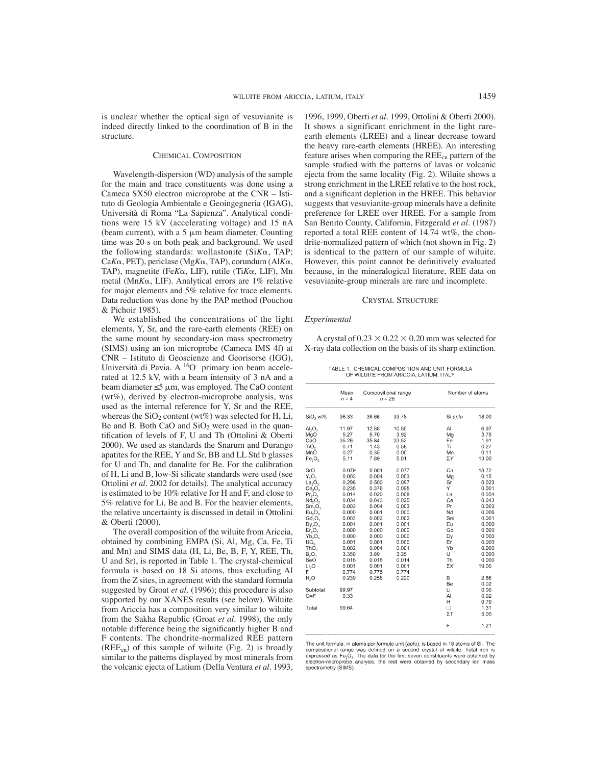is unclear whether the optical sign of vesuvianite is indeed directly linked to the coordination of B in the structure.

#### CHEMICAL COMPOSITION

Wavelength-dispersion (WD) analysis of the sample for the main and trace constituents was done using a Cameca SX50 electron microprobe at the CNR – Istituto di Geologia Ambientale e Geoingegneria (IGAG), Università di Roma "La Sapienza". Analytical conditions were 15 kV (accelerating voltage) and 15 nA (beam current), with a 5  $\mu$ m beam diameter. Counting time was 20 s on both peak and background. We used the following standards: wollastonite  $(SiK\alpha, TAP)$ ; Ca*K*α, PET), periclase (Mg*K*α, TAP), corundum (Al*Kα*, TAP), magnetite (Fe $K\alpha$ , LIF), rutile (Ti $K\alpha$ , LIF), Mn metal (Mn*K*, LIF). Analytical errors are 1% relative for major elements and 5% relative for trace elements. Data reduction was done by the PAP method (Pouchou & Pichoir 1985).

We established the concentrations of the light elements, Y, Sr, and the rare-earth elements (REE) on the same mount by secondary-ion mass spectrometry (SIMS) using an ion microprobe (Cameca IMS 4f) at CNR – Istituto di Geoscienze and Georisorse (IGG), Università di Pavia. A 16O– primary ion beam accelerated at 12.5 kV, with a beam intensity of 3 nA and a beam diameter  $\leq 5 \mu m$ , was employed. The CaO content (wt%), derived by electron-microprobe analysis, was used as the internal reference for Y, Sr and the REE, whereas the  $SiO<sub>2</sub>$  content (wt%) was selected for H, Li, Be and B. Both CaO and  $SiO<sub>2</sub>$  were used in the quantification of levels of F, U and Th (Ottolini & Oberti 2000). We used as standards the Snarum and Durango apatites for the REE, Y and Sr, BB and LL Std b glasses for U and Th, and danalite for Be. For the calibration of H, Li and B, low-Si silicate standards were used (see Ottolini *et al*. 2002 for details). The analytical accuracy is estimated to be 10% relative for H and F, and close to 5% relative for Li, Be and B. For the heavier elements, the relative uncertainty is discussed in detail in Ottolini & Oberti (2000).

The overall composition of the wiluite from Ariccia, obtained by combining EMPA (Si, Al, Mg, Ca, Fe, Ti and Mn) and SIMS data (H, Li, Be, B, F, Y, REE, Th, U and Sr), is reported in Table 1. The crystal-chemical formula is based on 18 Si atoms, thus excluding Al from the Z sites, in agreement with the standard formula suggested by Groat *et al*. (1996); this procedure is also supported by our XANES results (see below). Wiluite from Ariccia has a composition very similar to wiluite from the Sakha Republic (Groat *et al.* 1998), the only notable difference being the significantly higher B and F contents. The chondrite-normalized REE pattern  $(REE_{cn})$  of this sample of wiluite (Fig. 2) is broadly similar to the patterns displayed by most minerals from the volcanic ejecta of Latium (Della Ventura *et al.* 1993, 1996, 1999, Oberti *et al.* 1999, Ottolini & Oberti 2000). It shows a significant enrichment in the light rareearth elements (LREE) and a linear decrease toward the heavy rare-earth elements (HREE). An interesting feature arises when comparing the REEcn pattern of the sample studied with the patterns of lavas or volcanic ejecta from the same locality (Fig. 2). Wiluite shows a strong enrichment in the LREE relative to the host rock, and a significant depletion in the HREE. This behavior suggests that vesuvianite-group minerals have a definite preference for LREE over HREE. For a sample from San Benito County, California, Fitzgerald *et al.* (1987) reported a total REE content of 14.74 wt%, the chondrite-normalized pattern of which (not shown in Fig. 2) is identical to the pattern of our sample of wiluite. However, this point cannot be definitively evaluated because, in the mineralogical literature, REE data on vesuvianite-group minerals are rare and incomplete.

#### CRYSTAL STRUCTURE

### *Experimental*

A crystal of  $0.23 \times 0.22 \times 0.20$  mm was selected for X-ray data collection on the basis of its sharp extinction.

TABLE 1. CHEMICAL COMPOSITION AND UNIT FORMULA OF WILUITE FROM ARICCIA, LATIUM, ITALY

|                                | Mean<br>$n = 4$ | Compositional range<br>$n = 26$ |       | Number of atoms |       |
|--------------------------------|-----------------|---------------------------------|-------|-----------------|-------|
| SiO <sub>2</sub> wt%           | 36.33           | 36.66                           | 33.78 | Si apfu         | 18.00 |
| AI <sub>2</sub> O <sub>3</sub> | 11.97           | 12.88                           | 10.50 | Al              | 6.97  |
| MgO                            | 5.27            | 5.70                            | 3.92  | Mg              | 3.75  |
| CaO                            | 35.26           | 35.84                           | 33.52 | Fe              | 1.91  |
| TiO <sub>2</sub>               | 0.71            | 1.43                            | 0.58  | Ti              | 0.27  |
| MnO                            | 0.27            | 0.35                            | 0.00  | Mn              | 0.11  |
| Fe <sub>2</sub> O <sub>3</sub> | 5.11            | 7.89                            | 5.01  | ΣΥ              | 13.00 |
| SrO                            | 0.079           | 0.081                           | 0.077 | Ca              | 18.72 |
| $Y_2O_3$                       | 0.003           | 0.004                           | 0.003 | Mg              | 0.15  |
| La <sub>2</sub> O <sub>3</sub> | 0.298           | 0.500                           | 0.097 | Sr              | 0.023 |
| Ce <sub>2</sub> O <sub>3</sub> | 0.235           | 0.376                           | 0.095 | Y               | 0.001 |
| $Pr_2O_3$                      | 0.014           | 0.020                           | 0.008 | La              | 0.054 |
| Nd <sub>2</sub> O <sub>3</sub> | 0.034           | 0.043                           | 0.025 | Ce              | 0.043 |
| Sm <sub>2</sub> O <sub>3</sub> | 0.003           | 0.004                           | 0.003 | Pr              | 0.003 |
| Eu <sub>2</sub> O <sub>3</sub> | 0.000           | 0.001                           | 0.000 | Nd              | 0.006 |
| Gd, O <sub>3</sub>             | 0.003           | 0.003                           | 0.002 | Sm              | 0.001 |
| $Dy_2O_3$                      | 0.001           | 0.001                           | 0.001 | Eu              | 0.000 |
| Er <sub>2</sub> O <sub>3</sub> | 0.000           | 0.000                           | 0.000 | Gd              | 0.000 |
| Yb, O,                         | 0.000           | 0.000                           | 0.000 | Dv              | 0.000 |
| UO <sub>2</sub>                | 0.001           | 0.001                           | 0.000 | Er              | 0.000 |
| ThO <sub>2</sub>               | 0.002           | 0.004                           | 0.001 | Yb              | 0.000 |
| $B_2O_3$                       | 3.350           | 3.89                            | 3.35  | U               | 0.000 |
| BeO                            | 0.016           | 0.018                           | 0.014 | Th              | 0.000 |
| Li <sub>2</sub> O              | 0.001           | 0.001                           | 0.001 | ΣX              | 19.00 |
| F                              | 0.774           | 0.775                           | 0.774 |                 |       |
| H.O                            | 0.239           | 0.258                           | 0.220 | B               | 2.86  |
|                                |                 |                                 |       | Be              | 0.02  |
| Subtotal                       | 99.97           |                                 |       | Li              | 0.00  |
| $O = F$                        | 0.33            |                                 |       | AI              | 0.02  |
|                                |                 |                                 |       | н               | 0.79  |
| Total                          | 99.64           |                                 |       | □               | 1.31  |
|                                |                 |                                 |       | $\Sigma$ T      | 5.00  |
|                                |                 |                                 |       | F               | 1.21  |

The unit formula, in atoms per formula unit (apfu), is based in 18 atoms of Si. The compositional range was defined on a second crystal of wilute. Total iron is<br>expressed as  $Fe<sub>2</sub>O<sub>3</sub>$ . The data for the first seven constituents were obtained by electron-microprobe analysis; the rest were obtained by secondary ion mass spectrometry (SIMS).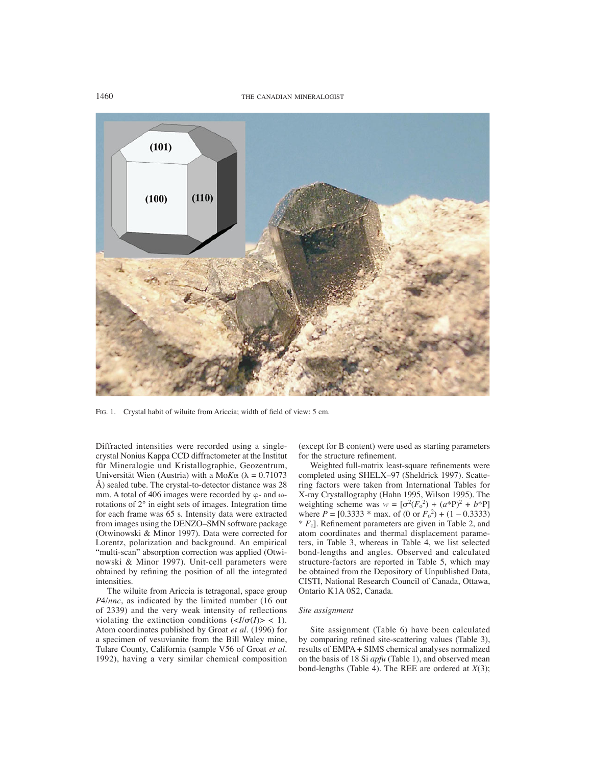1460 THE CANADIAN MINERALOGIST



FIG. 1. Crystal habit of wiluite from Ariccia; width of field of view: 5 cm.

Diffracted intensities were recorded using a singlecrystal Nonius Kappa CCD diffractometer at the Institut für Mineralogie und Kristallographie, Geozentrum, Universität Wien (Austria) with a Mo $K\alpha$  ( $\lambda = 0.71073$ ) Å) sealed tube. The crystal-to-detector distance was 28 mm. A total of 406 images were recorded by  $\varphi$ - and  $\omega$ rotations of 2° in eight sets of images. Integration time for each frame was 65 s. Intensity data were extracted from images using the DENZO–SMN software package (Otwinowski & Minor 1997). Data were corrected for Lorentz, polarization and background. An empirical "multi-scan" absorption correction was applied (Otwinowski & Minor 1997). Unit-cell parameters were obtained by refining the position of all the integrated intensities.

The wiluite from Ariccia is tetragonal, space group *P*4/*nnc*, as indicated by the limited number (16 out of 2339) and the very weak intensity of reflections violating the extinction conditions  $(\langle I/\sigma(I) \rangle \langle I]$ . Atom coordinates published by Groat *et al.* (1996) for a specimen of vesuvianite from the Bill Waley mine, Tulare County, California (sample V56 of Groat *et al.* 1992), having a very similar chemical composition (except for B content) were used as starting parameters for the structure refinement.

Weighted full-matrix least-square refinements were completed using SHELX–97 (Sheldrick 1997). Scattering factors were taken from International Tables for X-ray Crystallography (Hahn 1995, Wilson 1995). The weighting scheme was  $w = [\sigma^2 (F_0^2) + (a^*P)^2 + b^*P]$ where  $P = [0.3333 * \text{max. of } (0 \text{ or } F_0^2) + (1 - 0.3333)$  $* F_c$ ]. Refinement parameters are given in Table 2, and atom coordinates and thermal displacement parameters, in Table 3, whereas in Table 4, we list selected bond-lengths and angles. Observed and calculated structure-factors are reported in Table 5, which may be obtained from the Depository of Unpublished Data, CISTI, National Research Council of Canada, Ottawa, Ontario K1A 0S2, Canada.

#### *Site assignment*

Site assignment (Table 6) have been calculated by comparing refined site-scattering values (Table 3), results of EMPA + SIMS chemical analyses normalized on the basis of 18 Si *apfu* (Table 1), and observed mean bond-lengths (Table 4). The REE are ordered at *X*(3);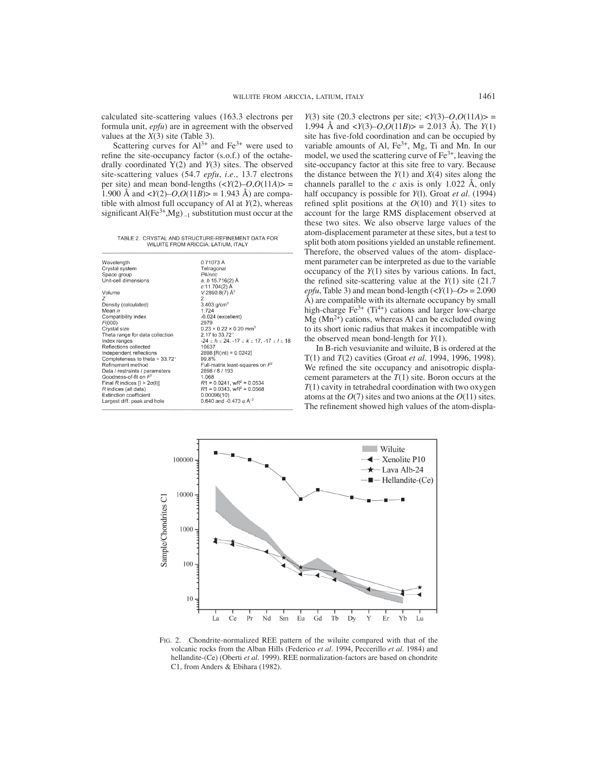calculated site-scattering values (163.3 electrons per formula unit, *epfu*) are in agreement with the observed values at the *X*(3) site (Table 3).

Scattering curves for  $Al^{3+}$  and  $Fe^{3+}$  were used to refine the site-occupancy factor (s.o.f.) of the octahedrally coordinated Y(2) and *Y*(3) sites. The observed site-scattering values (54.7 *epfu*, *i.e.*, 13.7 electrons per site) and mean bond-lengths  $(\langle Y(2) - O, O(11A) \rangle =$ 1.900 Å and  $\langle Y(2) - O, O(11B) \rangle = 1.943$  Å) are compatible with almost full occupancy of Al at *Y*(2), whereas significant Al(Fe<sup>3+</sup>,Mg)<sub>-1</sub> substitution must occur at the

TABLE 2. CRYSTAL AND STRUCTURE-REFINEMENT DATA FOR WILUITE FROM ARICCIA, LATIUM, ITALY

| Wavelength                              | 0.71073A                                               |
|-----------------------------------------|--------------------------------------------------------|
| Crystal system                          | Tetragonal                                             |
| Space group                             | P <sub>4</sub> Innc                                    |
| Unit-cell dimensions                    | a, b 15.716(2) Å                                       |
|                                         | c 11.704(2) Å                                          |
| Volume                                  | $V$ 2890.8(7) Å <sup>3</sup>                           |
| 7                                       | $\overline{2}$                                         |
| Density (calculated)                    | 3.403 $q/cm^{3}$                                       |
| Mean n                                  | 1.724                                                  |
| Compatibility index                     | $-0.024$ (excellent)                                   |
| F(000)                                  | 2979                                                   |
| Crystal size                            | $0.23 \times 0.22 \times 0.20$ mm <sup>3</sup>         |
| Theta range for data collection         | 2.17 to 33.72°                                         |
| Index ranges                            | $-24 \le h \le 24, -17 \le k \le 17, -17 \le l \le 18$ |
| Reflections collected                   | 10637                                                  |
| Independent reflections                 | 2898 [R(int) = $0.0242$ ]                              |
| Completeness to theta = $33.72^{\circ}$ | 99.8%                                                  |
| Refinement method                       | Full-matrix least-squares on $F^2$                     |
| Data / restraints / parameters          | 2898 / 8 / 193                                         |
| Goodness-of-fit on $F^2$                | 1.068                                                  |
| Final R indices $[1 > 2\sigma(1)]$      | $R1 = 0.0241$ , $wR^2 = 0.0534$                        |
| R indices (all data)                    | $R1 = 0.0343$ , w $R^2 = 0.0568$                       |
| Extinction coefficient                  | 0.00096(10)                                            |
| Largest diff. peak and hole             | 0.640 and -0.473 $e.\text{\AA}^{-3}$                   |
|                                         |                                                        |

*Y*(3) site (20.3 electrons per site;  $\langle Y(3) - O, O(11A) \rangle =$ 1.994 Å and  $\langle Y(3) - O, O(11B) \rangle = 2.013$  Å). The *Y*(1) site has five-fold coordination and can be occupied by variable amounts of Al,  $Fe<sup>3+</sup>$ , Mg, Ti and Mn. In our model, we used the scattering curve of  $Fe<sup>3+</sup>$ , leaving the site-occupancy factor at this site free to vary. Because the distance between the *Y*(1) and *X*(4) sites along the channels parallel to the *c* axis is only 1.022 Å, only half occupancy is possible for *Y*(l). Groat *et al.* (1994) refined split positions at the  $O(10)$  and  $Y(1)$  sites to account for the large RMS displacement observed at these two sites. We also observe large values of the atom-displacement parameter at these sites, but a test to split both atom positions yielded an unstable refinement. Therefore, the observed values of the atom- displacement parameter can be interpreted as due to the variable occupancy of the *Y*(1) sites by various cations. In fact, the refined site-scattering value at the  $Y(1)$  site (21.7) *epfu*, Table 3) and mean bond-length  $\left\langle \frac{\mathcal{Y}(1)-0}{2} \right\rangle = 2.090$ Å) are compatible with its alternate occupancy by small high-charge  $Fe^{3+}$  (Ti<sup>4+</sup>) cations and larger low-charge  $Mg$  (Mn<sup>2+</sup>) cations, whereas Al can be excluded owing to its short ionic radius that makes it incompatible with the observed mean bond-length for *Y*(1).

In B-rich vesuvianite and wiluite, B is ordered at the T(1) and *T*(2) cavities (Groat *et al.* 1994, 1996, 1998). We refined the site occupancy and anisotropic displacement parameters at the *T*(1) site. Boron occurs at the *T*(1) cavity in tetrahedral coordination with two oxygen atoms at the *O*(7) sites and two anions at the *O*(11) sites. The refinement showed high values of the atom-displa-



FIG. 2. Chondrite-normalized REE pattern of the wiluite compared with that of the volcanic rocks from the Alban Hills (Federico *et al.* 1994, Peccerillo *et al.* 1984) and hellandite-(Ce) (Oberti *et al.* 1999). REE normalization-factors are based on chondrite C1, from Anders & Ebihara (1982).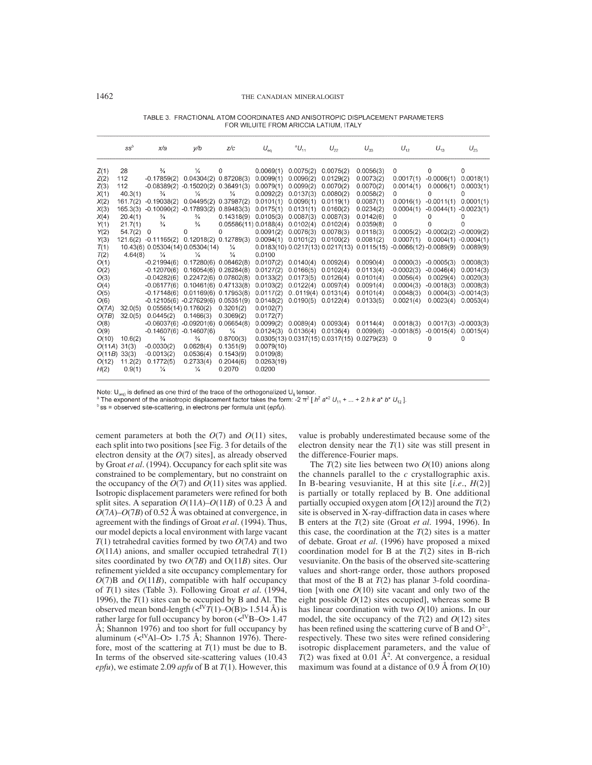|        | $ss^b$   | x/a                                        | y/b                                  | Z/c                  | $U_{eq}$   | $^aU_{11}$ | $U_{22}$  | $U_{33}$                                                             | $U_{12}$     | $U_{13}$               | $U_{23}$     |
|--------|----------|--------------------------------------------|--------------------------------------|----------------------|------------|------------|-----------|----------------------------------------------------------------------|--------------|------------------------|--------------|
| Z(1)   | 28       | $\frac{3}{4}$                              | ¼                                    | 0                    | 0.0069(1)  | 0.0075(2)  | 0.0075(2) | 0.0056(3)                                                            | 0            | 0                      | 0            |
| Z(2)   | 112      | $-0.17859(2)$                              | $0.04304(2)$ $0.87208(3)$            |                      | 0.0099(1)  | 0.0096(2)  | 0.0129(2) | 0.0073(2)                                                            | 0.0017(1)    | $-0.0006(1)$           | 0.0018(1)    |
| Z(3)   | 112      | $-0.08389(2) -0.15020(2) 0.36491(3)$       |                                      |                      | 0.0079(1)  | 0.0099(2)  | 0.0070(2) | 0.0070(2)                                                            | 0.0014(1)    | 0.0006(1)              | 0.0003(1)    |
| X(1)   | 40.3(1)  | $\frac{3}{4}$                              | ¼                                    | $\frac{1}{4}$        | 0.0092(2)  | 0.0137(3)  | 0.0080(2) | 0.0058(2)                                                            | 0            | 0                      | 0            |
| X(2)   | 161.7(2) | $-0.19038(2)$                              | $0.04495(2)$ $0.37987(2)$            |                      | 0.0101(1)  | 0.0096(1)  | 0.0119(1) | 0.0087(1)                                                            | 0.0016(1)    | $-0.0011(1)$           | 0.0001(1)    |
| X(3)   | 165.3(3) | $-0.10090(2) -0.17893(2) 0.89483(3)$       |                                      |                      | 0.0175(1)  | 0.0131(1)  | 0.0160(2) | 0.0234(2)                                                            | 0.0004(1)    | $-0.0044(1)$           | $-0.0023(1)$ |
| X(4)   | 20.4(1)  | $\frac{3}{4}$                              | $\frac{3}{4}$                        | 0.14318(9)           | 0.0105(3)  | 0.0087(3)  | 0.0087(3) | 0.0142(6)                                                            | 0            | 0                      | 0            |
| Y(1)   | 21.7(1)  | $\frac{3}{4}$                              | $\frac{3}{4}$                        | 0.05586(11)0.0188(4) |            | 0.0102(4)  | 0.0102(4) | 0.0359(8)                                                            | 0            | 0                      | 0            |
| Y(2)   | 54.7(2)  | $\mathbf 0$                                | 0                                    | 0                    | 0.0091(2)  | 0.0076(3)  | 0.0078(3) | 0.0118(3)                                                            | 0.0005(2)    | $-0.0002(2)$           | $-0.0009(2)$ |
| Y(3)   |          | 121.6(2) -0.11165(2) 0.12018(2) 0.12789(3) |                                      |                      | 0.0094(1)  | 0.0101(2)  | 0.0100(2) | 0.0081(2)                                                            | 0.0007(1)    | $0.0004(1) -0.0004(1)$ |              |
| T(1)   |          | 10.43(6) 0.05304(14) 0.05304(14)           |                                      | ⅛                    |            |            |           | $0.0183(10) 0.0217(13) 0.0217(13) 0.0115(15) -0.0066(12) -0.0089(9)$ |              |                        | 0.0089(9)    |
| T(2)   | 4.64(8)  | $\frac{1}{4}$                              | ¼                                    | ¼                    | 0.0100     |            |           |                                                                      |              |                        |              |
| O(1)   |          | $-0.21994(6)$                              | $0.17280(6)$ $0.08462(8)$            |                      | 0.0107(2)  | 0.0140(4)  | 0.0092(4) | 0.0090(4)                                                            | 0.0000(3)    | $-0.0005(3)$           | 0.0008(3)    |
| O(2)   |          | $-0.12070(6)$                              | $0.16054(6)$ $0.28284(8)$            |                      | 0.0127(2)  | 0.0166(5)  | 0.0102(4) | 0.0113(4)                                                            | $-0.0002(3)$ | $-0.0046(4)$           | 0.0014(3)    |
| O(3)   |          | $-0.04282(6)$                              | $0.22472(6)$ $0.07802(8)$            |                      | 0.0133(2)  | 0.0173(5)  | 0.0126(4) | 0.0101(4)                                                            | 0.0056(4)    | 0.0029(4)              | 0.0020(3)    |
| O(4)   |          | $-0.06177(6)$                              | $0.10461(6)$ $0.47133(8)$            |                      | 0.0103(2)  | 0.0122(4)  | 0.0097(4) | 0.0091(4)                                                            | 0.0004(3)    | $-0.0018(3)$           | 0.0008(3)    |
| O(5)   |          | $-0.17148(6)$                              | $0.01169(6)$ $0.17953(8)$            |                      | 0.0117(2)  | 0.0119(4)  | 0.0131(4) | 0.0101(4)                                                            | 0.0048(3)    | $0.0004(3) -0.0014(3)$ |              |
| O(6)   |          |                                            | $-0.12105(6) -0.27629(6) 0.05351(9)$ |                      | 0.0148(2)  | 0.0190(5)  | 0.0122(4) | 0.0133(5)                                                            | 0.0021(4)    | 0.0023(4)              | 0.0053(4)    |
| O(7A)  | 32.0(5)  | 0.05565(14)0.1760(2)                       |                                      | 0.3201(2)            | 0.0102(7)  |            |           |                                                                      |              |                        |              |
| O(7B)  | 32.0(5)  | 0.0445(2)                                  | 0.1466(3)                            | 0.3069(2)            | 0.0172(7)  |            |           |                                                                      |              |                        |              |
| O(8)   |          | $-0.06037(6) -0.09201(6) 0.06654(8)$       |                                      |                      | 0.0099(2)  | 0.0089(4)  | 0.0093(4) | 0.0114(4)                                                            | 0.0018(3)    | $0.0017(3) -0.0003(3)$ |              |
| O(9)   |          | $-0.14607(6) -0.14607(6)$                  |                                      | $\frac{1}{4}$        | 0.0124(3)  | 0.0136(4)  | 0.0136(4) | 0.0099(6)                                                            | $-0.0018(5)$ | $-0.0015(4)$           | 0.0015(4)    |
| O(10)  | 10.6(2)  | $\frac{3}{4}$                              | $\frac{3}{4}$                        | 0.8700(3)            |            |            |           | $0.0305(13) 0.0317(15) 0.0317(15) 0.0279(23)$                        | 0            | 0                      | 0            |
| O(11A) | 31(3)    | $-0.0030(2)$                               | 0.0628(4)                            | 0.1351(9)            | 0.0079(10) |            |           |                                                                      |              |                        |              |
| O(11B) | 33(3)    | $-0.0013(2)$                               | 0.0536(4)                            | 0.1543(9)            | 0.0109(8)  |            |           |                                                                      |              |                        |              |
| O(12)  | 11.2(2)  | 0.1772(5)                                  | 0.2733(4)                            | 0.2044(6)            | 0.0263(19) |            |           |                                                                      |              |                        |              |
| H(2)   | 0.9(1)   | ¼                                          | ¼                                    | 0.2070               | 0.0200     |            |           |                                                                      |              |                        |              |
|        |          |                                            |                                      |                      |            |            |           |                                                                      |              |                        |              |

TABLE 3. FRACTIONAL ATOM COORDINATES AND ANISOTROPIC DISPLACEMENT PARAMETERS FOR WILUITE FROM ARICCIA LATIUM, ITALY

Note:  $U_{(eq)}$  is defined as one third of the trace of the orthogonalized  $U_{ij}$  tensor.

<sup>a</sup> The exponent of the anisotropic displacement factor takes the form: -2  $\pi^2$  [ $h^2$   $a^{*2}$  U<sub>11</sub> + ... + 2 h k a<sup>\*</sup> b<sup>\*</sup> U<sub>12</sub>].

<sup>b</sup> ss = observed site-scattering, in electrons per formula unit (epfu).

cement parameters at both the *O*(7) and *O*(11) sites, each split into two positions [see Fig. 3 for details of the electron density at the *O*(7) sites], as already observed by Groat *et al.* (1994). Occupancy for each split site was constrained to be complementary, but no constraint on the occupancy of the  $O(7)$  and  $O(11)$  sites was applied. Isotropic displacement parameters were refined for both split sites. A separation  $O(11A) - O(11B)$  of 0.23 Å and *O*(7*A*)–*O*(7*B*) of 0.52 Å was obtained at convergence, in agreement with the findings of Groat *et al.* (1994). Thus, our model depicts a local environment with large vacant *T*(1) tetrahedral cavities formed by two *O*(7*A*) and two *O*(11*A*) anions, and smaller occupied tetrahedral *T*(1) sites coordinated by two *O*(7*B*) and O(11*B*) sites. Our refinement yielded a site occupancy complementary for  $O(7)$ B and  $O(11B)$ , compatible with half occupancy of *T*(1) sites (Table 3). Following Groat *et al.* (1994, 1996), the *T*(1) sites can be occupied by B and Al. The observed mean bond-length  $(<sup>IV</sup>T(1)-O(B)>1.514$  Å) is rather large for full occupancy by boron  $(<sup>N</sup>B-O>1.47$ Å; Shannon 1976) and too short for full occupancy by aluminum ( $\langle$ <sup>IV</sup>Al–O> 1.75 Å; Shannon 1976). Therefore, most of the scattering at  $T(1)$  must be due to B. In terms of the observed site-scattering values (10.43 *epfu*), we estimate 2.09 *apfu* of B at *T*(1). However, this

value is probably underestimated because some of the electron density near the *T*(1) site was still present in the difference-Fourier maps.

The *T*(2) site lies between two *O*(10) anions along the channels parallel to the *c* crystallographic axis. In B-bearing vesuvianite, H at this site [*i.e.*, *H*(2)] is partially or totally replaced by B. One additional partially occupied oxygen atom  $[O(12)]$  around the  $T(2)$ site is observed in X-ray-diffraction data in cases where B enters at the *T*(2) site (Groat *et al.* 1994, 1996). In this case, the coordination at the  $T(2)$  sites is a matter of debate. Groat *et al*. (1996) have proposed a mixed coordination model for B at the *T*(2) sites in B-rich vesuvianite. On the basis of the observed site-scattering values and short-range order, those authors proposed that most of the B at  $T(2)$  has planar 3-fold coordination [with one  $O(10)$  site vacant and only two of the eight possible *O*(12) sites occupied], whereas some B has linear coordination with two *O*(10) anions. In our model, the site occupancy of the  $T(2)$  and  $O(12)$  sites has been refined using the scattering curve of B and  $O^{2-}$ , respectively. These two sites were refined considering isotropic displacement parameters, and the value of  $T(2)$  was fixed at 0.01  $\AA^2$ . At convergence, a residual maximum was found at a distance of 0.9 Å from *O*(10)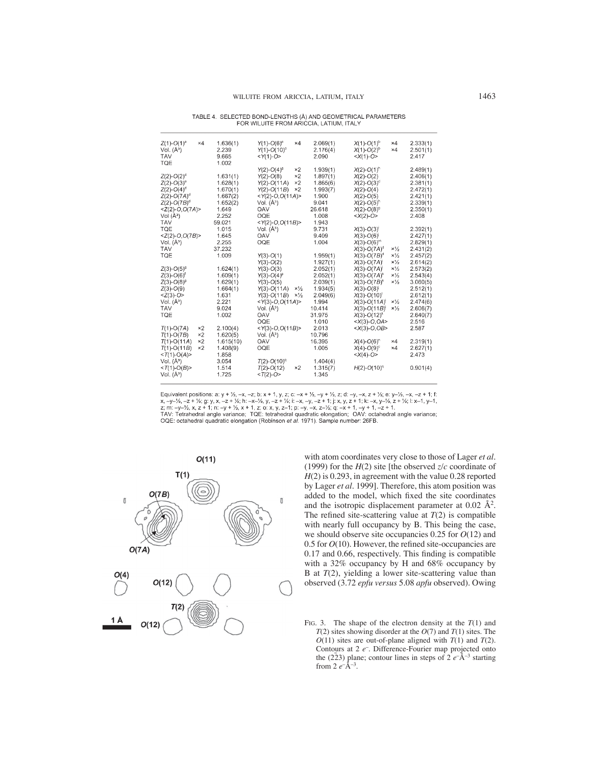| TABLE 4. SELECTED BOND-LENGTHS (Å) AND GEOMETRICAL PARAMETERS |
|---------------------------------------------------------------|
| FOR WILUITE FROM ARICCIA, LATIUM, ITALY                       |

| $Z(1)-O(1)^{a}$<br>Vol. $(A^3)$<br>TAV<br>TQE | $\times 4$ | 1.636(1)<br>2.239<br>9.665<br>1.002 | $Y(1)-O(6)^n$<br>$\times 4$<br>$Y(1)-O(10)°$<br>$<$ Y(1)-O> | 2.069(1)<br>2.176(4)<br>2.090 | $X(1)-O(1)^b$<br>×4<br>$X(1)-O(2)^{6}$<br>$\times 4$<br>$$ | 2.333(1)<br>2.501(1)<br>2.417 |
|-----------------------------------------------|------------|-------------------------------------|-------------------------------------------------------------|-------------------------------|------------------------------------------------------------|-------------------------------|
|                                               |            |                                     | ×2<br>$Y(2)-O(4)^9$                                         | 1.939(1)                      | $X(2)-O(1)^n$                                              | 2.489(1)                      |
| $Z(2)-O(2)^d$                                 |            | 1.631(1)                            | $\times 2$<br>$Y(2)-O(8)$                                   | 1.897(1)                      | $X(2)-O(2)$                                                | 2.406(1)                      |
| $Z(2)-O(3)^{o}$                               |            | 1.628(1)                            | $\times 2$<br>$Y(2)-O(11A)$                                 | 1.865(6)                      | $X(2)-O(3)^d$                                              | 2.381(1)                      |
| $Z(2)$ -O(4) <sup>d</sup>                     |            | 1.670(1)                            | $\times 2$<br>$Y(2)-O(11B)$                                 | 1.993(7)                      | $X(2)-O(4)$                                                | 2.472(1)                      |
| $Z(2)$ -O(7A) <sup>d</sup>                    |            | 1.667(2)                            | $<$ Y(2)-O,O(11A)>                                          | 1.900                         | $X(2)-O(5)$                                                | 2.421(1)                      |
| $Z(2)$ -O(7B) <sup>d</sup>                    |            | 1.652(2)                            | Vol. $(A^3)$                                                | 9.041                         | $X(2)$ -O(5) <sup>n</sup>                                  | 2.339(1)                      |
| $Z(2)-O, O(7A)$                               |            | 1.649                               | OAV                                                         | 26.618                        | $X(2)$ -O(8) <sup>9</sup>                                  | 2.350(1)                      |
| Vol $(A^3)$                                   |            | 2.252                               | OQE                                                         | 1.008                         | $$                                                         | 2.408                         |
| TAV                                           |            | 59.021                              | $<$ Y(2)-O,O(11B)>                                          | 1.943                         |                                                            |                               |
| TQE                                           |            | 1.015                               | Vol. $(A^3)$                                                | 9.731                         | $X(3)-O(3)$                                                | 2.392(1)                      |
| $<$ Z(2)-O,O(7B)>                             |            | 1.645                               | OAV                                                         | 9.409                         | $X(3)-O(6)$                                                | 2.427(1)                      |
| Vol. $(A^3)$                                  |            | 2.255                               | OQE                                                         | 1.004                         | $X(3)-O(6)^m$                                              | 2.829(1)                      |
| TAV                                           |            | 37.232                              |                                                             |                               | $X(3)-O(7A)^d$<br>$\times\frac{1}{2}$                      | 2.431(2)                      |
| <b>TQE</b>                                    |            | 1.009                               | $Y(3)-O(1)$                                                 | 1.959(1)                      | $x\frac{1}{2}$<br>$X(3)-O(7B)^d$                           | 2.457(2)                      |
|                                               |            |                                     | $Y(3)-O(2)$                                                 | 1.927(1)                      | $x\frac{1}{2}$<br>$X(3)-O(7A)$                             | 2.614(2)                      |
| $Z(3)-O(5)^9$                                 |            | 1.624(1)                            | $Y(3)-O(3)$                                                 | 2.052(1)                      | $x\frac{1}{2}$<br>$X(3)-O(7A)$                             | 2.573(2)                      |
| $Z(3)-O(6)$ <sup>t</sup>                      |            | 1.609(1)                            | $Y(3)-O(4)^p$                                               | 2.052(1)                      | $\times\frac{1}{2}$<br>$X(3)-O(7A)^{k}$                    | 2.543(4)                      |
| $Z(3)-O(8)^9$                                 |            | 1.629(1)                            | $Y(3)-O(5)$                                                 | 2.039(1)                      | $\times\frac{1}{2}$<br>$X(3)-O(7B)^{k}$                    | 3.060(5)                      |
| $Z(3)-O(9)$                                   |            | 1.664(1)                            | $x\frac{1}{2}$<br>$Y(3)-O(11A)$                             | 1.934(5)                      | $X(3)-O(8)$                                                | 2.512(1)                      |
| $Z(3)-O>$                                     |            | 1.631                               | $\times\frac{1}{2}$<br>$Y(3)-O(11B)$                        | 2.049(6)                      | $X(3)-O(10)^t$                                             | 2.612(1)                      |
| Vol. $(A^3)$<br>TAV                           |            | 2.221<br>9.024                      | $<$ Y(3)-O,O(11A)>                                          | 1.994<br>10.414               | $x\frac{1}{2}$<br>$X(3)-O(11A)$<br>$x\frac{1}{2}$          | 2.474(6)                      |
| <b>TQE</b>                                    |            | 1.002                               | Vol. $(A^3)$<br>OAV                                         | 31.975                        | $X(3)-O(11B)$                                              | 2.606(7)                      |
|                                               |            |                                     | OQE                                                         | 1.010                         | $X(3)-O(12)^{k}$<br>$$                                     | 2.640(7)<br>2.516             |
| $T(1)-O(7A)$                                  | $\times 2$ | 2.100(4)                            | < $Y(3)-O, O(11B)$ >                                        | 2.013                         | $$                                                         | 2.587                         |
| $T(1)-O(7B)$                                  | $\times 2$ | 1.620(5)                            | Vol. $(A^3)$                                                | 10.796                        |                                                            |                               |
| $T(1)-O(11A)$                                 | $\times 2$ | 1.615(10)                           | OAV                                                         | 16.395                        | $X(4)-O(6)$ <sup>n</sup><br>×4                             | 2.319(1)                      |
| $T(1)-O(11B)$                                 | $\times 2$ | 1.408(9)                            | OQE                                                         | 1.005                         | ×4<br>$X(4)-O(9)^c$                                        | 2.627(1)                      |
| $<$ T(1)-O(A)>                                |            | 1.858                               |                                                             |                               | $<$ $X(4)-O$ >                                             | 2.473                         |
| Vol. $(A^3)$                                  |            | 3.054                               | $T(2)-O(10)^{q}$                                            | 1.404(4)                      |                                                            |                               |
| $$                                            |            | 1.514                               | $\times 2$<br>$T(2)-O(12)$                                  | 1.315(7)                      | $H(2)-O(10)^q$                                             | 0.901(4)                      |
| Vol. $(A^3)$                                  |            | 1.725                               | $$                                                          | 1.345                         |                                                            |                               |
|                                               |            |                                     |                                                             |                               |                                                            |                               |

Equivalent positions: a:  $y + \frac{1}{2}$ ,  $-x$ ,  $-z$ ; b:  $x + 1$ ,  $y$ ,  $z$ ; c:  $-x + \frac{1}{2}$ ,  $-y + \frac{1}{2}$ ,  $z$ ; d:  $-y$ ,  $-x$ ,  $z + \frac{1}{2}$ ;  $y'$ ,  $-x$ ,  $-z + 1$ ; f:  $x$ ,  $-y-\frac{1}{2}$ ,  $y$ ,  $x$ ,  $-z + \frac{1}{2}$ ; h:  $-x-\frac{1}{2}$ ,  $y$ ,  $-z + \frac{1}{2}$ 



with atom coordinates very close to those of Lager *et al*. (1999) for the  $H(2)$  site [the observed  $z/c$  coordinate of *H*(2) is 0.293, in agreement with the value 0.28 reported by Lager *et al.* 1999]. Therefore, this atom position was added to the model, which fixed the site coordinates and the isotropic displacement parameter at  $0.02 \text{ Å}^2$ . The refined site-scattering value at  $T(2)$  is compatible with nearly full occupancy by B. This being the case, we should observe site occupancies 0.25 for *O*(12) and 0.5 for  $O(10)$ . However, the refined site-occupancies are  $0.17$  and  $0.66$ , respectively. This finding is compatible with a 32% occupancy by H and 68% occupancy by B at *T*(2), yielding a lower site-scattering value than observed (3.72 *epfu versus* 5.08 *apfu* observed). Owing

FIG. 3. The shape of the electron density at the  $T(1)$  and *T*(2) sites showing disorder at the *O*(7) and *T*(1) sites. The  $O(11)$  sites are out-of-plane aligned with  $T(1)$  and  $T(2)$ . Contours at 2  $e^-$ . Difference-Fourier map projected onto the (223) plane; contour lines in steps of  $2e^{-\hat{A}^{-3}}$  starting from 2  $e^{-\hat{A}^{-3}}$ .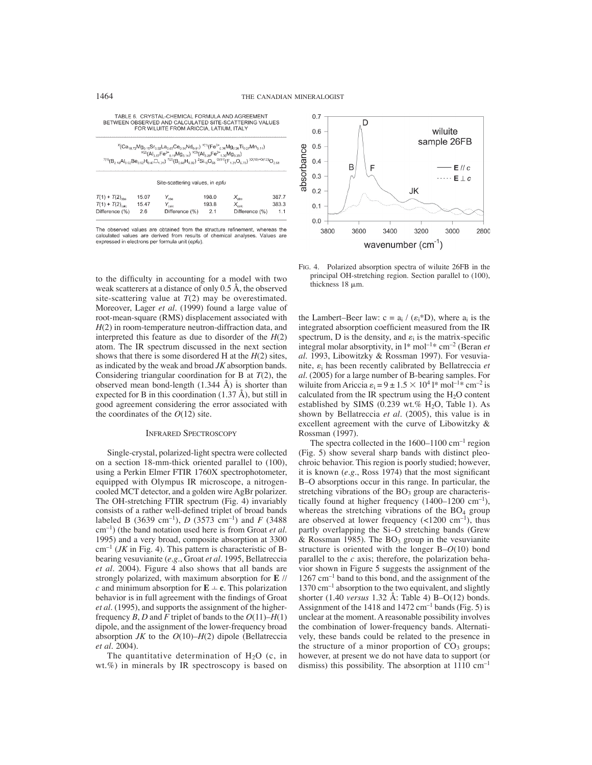| TABLE 6. CRYSTAL-CHEMICAL FORMULA AND AGREEMENT        |
|--------------------------------------------------------|
| BETWEEN OBSERVED AND CALCULATED SITE-SCATTERING VALUES |
| FOR WILLIEF FROM ARICCIA LATILIM ITALY                 |

| $^{x}$ (Ca <sub>18.72</sub> Mg <sub>0.15</sub> Sr <sub>0.02</sub> La <sub>0.05</sub> Ce <sub>0.04</sub> Nd <sub>0.01</sub> ) <sup>y(1)</sup> (Fe <sup>3+</sup> <sub>0.38</sub> Mg <sub>0.28</sub> Ti <sub>0.27</sub> Mn <sub>0.11</sub> )<br>$^{(1/2)}$ (Al <sub>3.87</sub> Fe <sup>3+</sup> <sub>0.19</sub> Mg <sub>0.14</sub> ) <sup><math>^{(1/3)}</math></sup> (Al <sub>3.29</sub> Fe <sup>3+</sup> , <sub>29</sub> Mg <sub>3.35</sub> )<br>$^{7(1)}(B_{2,18}Al_{0.02}Be_{0.02}H_{0.47}\Box_{1.31})$ $^{7(2)}(B_{0.68}H_{0.32})$ $^{2}Si_{18}O_{68}$ $^{9(11)}(F_{1,21}O_{6.78})$ $^{[9(10)+0(12)]}O_{2.68}$ |                       |                                                                       |                       |                                                        |                       |  |  |  |
|------------------------------------------------------------------------------------------------------------------------------------------------------------------------------------------------------------------------------------------------------------------------------------------------------------------------------------------------------------------------------------------------------------------------------------------------------------------------------------------------------------------------------------------------------------------------------------------------------------------|-----------------------|-----------------------------------------------------------------------|-----------------------|--------------------------------------------------------|-----------------------|--|--|--|
| Site-scattering values, in epfu                                                                                                                                                                                                                                                                                                                                                                                                                                                                                                                                                                                  |                       |                                                                       |                       |                                                        |                       |  |  |  |
| $T(1) + T(2)_{\text{obs}}$<br>$T(1) + T(2)$ <sub>ratr</sub><br>Difference (%)                                                                                                                                                                                                                                                                                                                                                                                                                                                                                                                                    | 15.07<br>15.47<br>2.6 | $Y_{\scriptscriptstyle \sf{nhe}}$<br>$Y_{\rm calc}$<br>Difference (%) | 198.0<br>193.8<br>2.1 | $X_{\mathrm{obs}}$<br>$X_{\rm calc}$<br>Difference (%) | 387.7<br>383.3<br>1.1 |  |  |  |

The observed values are obtained from the structure refinement, whereas the calculated values are derived from results of chemical analyses. Values are expressed in electrons per formula unit (epfu).

to the difficulty in accounting for a model with two weak scatterers at a distance of only 0.5 Å, the observed site-scattering value at  $T(2)$  may be overestimated. Moreover, Lager *et al*. (1999) found a large value of root-mean-square (RMS) displacement associated with *H*(2) in room-temperature neutron-diffraction data, and interpreted this feature as due to disorder of the *H*(2) atom. The IR spectrum discussed in the next section shows that there is some disordered H at the *H*(2) sites, as indicated by the weak and broad *JK* absorption bands. Considering triangular coordination for B at *T*(2), the observed mean bond-length (1.344 Å) is shorter than expected for B in this coordination  $(1.37 \text{ Å})$ , but still in good agreement considering the error associated with the coordinates of the *O*(12) site.

### INFRARED SPECTROSCOPY

Single-crystal, polarized-light spectra were collected on a section 18-mm-thick oriented parallel to (100), using a Perkin Elmer FTIR 1760X spectrophotometer, equipped with Olympus IR microscope, a nitrogencooled MCT detector, and a golden wire AgBr polarizer. The OH-stretching FTIR spectrum (Fig. 4) invariably consists of a rather well-defined triplet of broad bands labeled B (3639 cm<sup>-1</sup>), *D* (3573 cm<sup>-1</sup>) and *F* (3488 cm–1) (the band notation used here is from Groat *et al*. 1995) and a very broad, composite absorption at 3300  $cm^{-1}$  (*JK* in Fig. 4). This pattern is characteristic of Bbearing vesuvianite (*e.g.*, Groat *et al*. 1995, Bellatreccia *et al*. 2004). Figure 4 also shows that all bands are strongly polarized, with maximum absorption for **E** // *c* and minimum absorption for  $\mathbf{E} \perp \mathbf{c}$ . This polarization behavior is in full agreement with the findings of Groat *et al*. (1995), and supports the assignment of the higherfrequency *B*, *D* and *F* triplet of bands to the  $O(11)$ –*H*(1) dipole, and the assignment of the lower-frequency broad absorption *JK* to the  $O(10)$ – $H(2)$  dipole (Bellatreccia *et al*. 2004).

The quantitative determination of  $H<sub>2</sub>O$  (c, in wt.%) in minerals by IR spectroscopy is based on



FIG. 4. Polarized absorption spectra of wiluite 26FB in the principal OH-stretching region. Section parallel to (100), thickness 18 um.

the Lambert–Beer law:  $c = a_i / (e_i * D)$ , where  $a_i$  is the integrated absorption coefficient measured from the IR spectrum, D is the density, and  $\varepsilon_i$  is the matrix-specific integral molar absorptivity, in l\* mol–1\* cm–2 (Beran *et al*. 1993, Libowitzky & Rossman 1997). For vesuvianite,  $\varepsilon$ <sub>i</sub> has been recently calibrated by Bellatreccia et *al*. (2005) for a large number of B-bearing samples. For wiluite from Ariccia  $\varepsilon_i = 9 \pm 1.5 \times 10^4$  l\* mol<sup>-1\*</sup> cm<sup>-2</sup> is calculated from the IR spectrum using the  $H_2O$  content established by SIMS (0.239 wt.%  $H_2O$ , Table 1). As shown by Bellatreccia *et al*. (2005), this value is in excellent agreement with the curve of Libowitzky & Rossman (1997).

The spectra collected in the  $1600-1100$  cm<sup>-1</sup> region (Fig. 5) show several sharp bands with distinct pleochroic behavior. This region is poorly studied; however, it is known (e.g., Ross 1974) that the most significant B–O absorptions occur in this range. In particular, the stretching vibrations of the  $BO<sub>3</sub>$  group are characteristically found at higher frequency  $(1400-1200 \text{ cm}^{-1})$ , whereas the stretching vibrations of the BO<sub>4</sub> group are observed at lower frequency  $\left($  <1200 cm<sup>-1</sup>), thus partly overlapping the Si–O stretching bands (Grew  $&$  Rossman 1985). The BO<sub>3</sub> group in the vesuvianite structure is oriented with the longer B–*O*(10) bond parallel to the *c* axis; therefore, the polarization behavior shown in Figure 5 suggests the assignment of the  $1267$  cm<sup>-1</sup> band to this bond, and the assignment of the 1370 cm–1 absorption to the two equivalent, and slightly shorter (1.40 *versus* 1.32 Å: Table 4) B–O(12) bonds. Assignment of the 1418 and  $1472 \text{ cm}^{-1}$  bands (Fig. 5) is unclear at the moment. A reasonable possibility involves the combination of lower-frequency bands. Alternatively, these bands could be related to the presence in the structure of a minor proportion of  $CO<sub>3</sub>$  groups; however, at present we do not have data to support (or dismiss) this possibility. The absorption at  $1110 \text{ cm}^{-1}$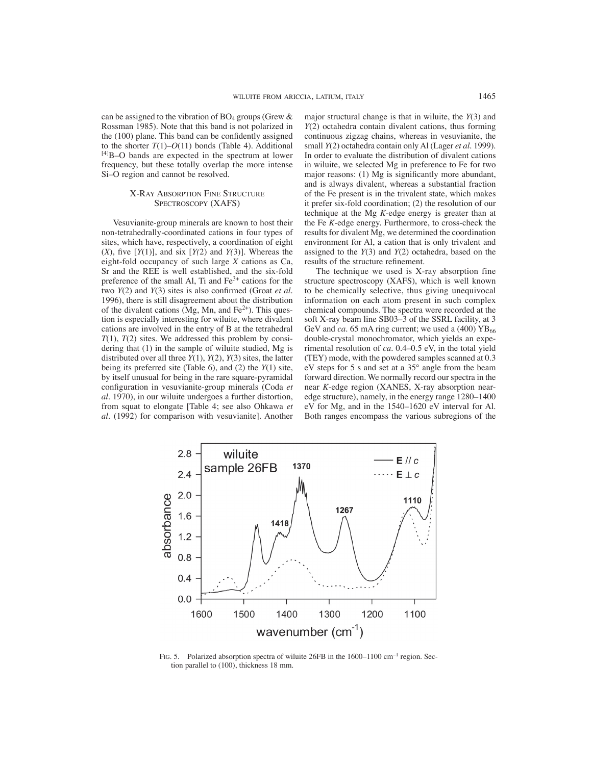can be assigned to the vibration of  $BO<sub>4</sub>$  groups (Grew & Rossman 1985). Note that this band is not polarized in the  $(100)$  plane. This band can be confidently assigned to the shorter  $T(1)$ – $O(11)$  bonds (Table 4). Additional [4]B–O bands are expected in the spectrum at lower frequency, but these totally overlap the more intense Si–O region and cannot be resolved.

### X-RAY ABSORPTION FINE STRUCTURE SPECTROSCOPY (XAFS)

Vesuvianite-group minerals are known to host their non-tetrahedrally-coordinated cations in four types of sites, which have, respectively, a coordination of eight  $(X)$ , five  $[Y(1)]$ , and six  $[Y(2)$  and  $Y(3)]$ . Whereas the eight-fold occupancy of such large *X* cations as Ca, Sr and the REE is well established, and the six-fold preference of the small Al, Ti and  $Fe<sup>3+</sup>$  cations for the two  $Y(2)$  and  $Y(3)$  sites is also confirmed (Groat *et al.*) 1996), there is still disagreement about the distribution of the divalent cations  $(Mg, Mn, and Fe<sup>2+</sup>)$ . This question is especially interesting for wiluite, where divalent cations are involved in the entry of B at the tetrahedral *T*(1), *T*(2) sites. We addressed this problem by considering that (1) in the sample of wiluite studied, Mg is distributed over all three *Y*(1), *Y*(2), *Y*(3) sites, the latter being its preferred site (Table 6), and (2) the *Y*(1) site, by itself unusual for being in the rare square-pyramidal configuration in vesuvianite-group minerals (Coda et *al*. 1970), in our wiluite undergoes a further distortion, from squat to elongate [Table 4; see also Ohkawa *et al.* (1992) for comparison with vesuvianite]. Another major structural change is that in wiluite, the *Y*(3) and *Y*(2) octahedra contain divalent cations, thus forming continuous zigzag chains, whereas in vesuvianite, the small *Y*(2) octahedra contain only Al (Lager *et al.* 1999). In order to evaluate the distribution of divalent cations in wiluite, we selected Mg in preference to Fe for two major reasons:  $(1)$  Mg is significantly more abundant, and is always divalent, whereas a substantial fraction of the Fe present is in the trivalent state, which makes it prefer six-fold coordination; (2) the resolution of our technique at the Mg *K*-edge energy is greater than at the Fe *K*-edge energy. Furthermore, to cross-check the results for divalent Mg, we determined the coordination environment for Al, a cation that is only trivalent and assigned to the *Y*(3) and *Y*(2) octahedra, based on the results of the structure refinement.

The technique we used is X-ray absorption fine structure spectroscopy (XAFS), which is well known to be chemically selective, thus giving unequivocal information on each atom present in such complex chemical compounds. The spectra were recorded at the soft X-ray beam line SB03–3 of the SSRL facility, at 3 GeV and *ca*. 65 mA ring current; we used a  $(400)$  YB<sub>66</sub> double-crystal monochromator, which yields an experimental resolution of *ca.* 0.4–0.5 eV, in the total yield (TEY) mode, with the powdered samples scanned at 0.3 eV steps for 5 s and set at a 35° angle from the beam forward direction. We normally record our spectra in the near *K*-edge region (XANES, X-ray absorption nearedge structure), namely, in the energy range 1280–1400 eV for Mg, and in the 1540–1620 eV interval for Al. Both ranges encompass the various subregions of the



FIG. 5. Polarized absorption spectra of wiluite 26FB in the 1600–1100 cm<sup>-1</sup> region. Section parallel to (100), thickness 18 mm.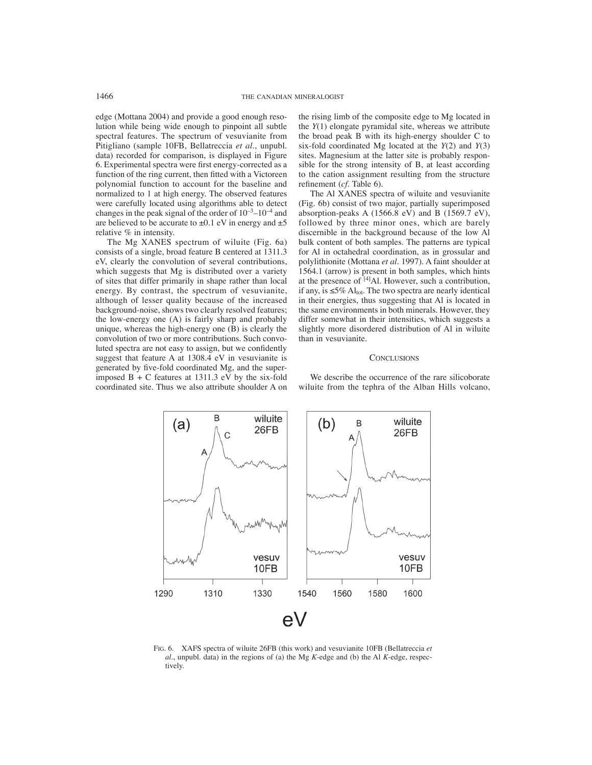edge (Mottana 2004) and provide a good enough resolution while being wide enough to pinpoint all subtle spectral features. The spectrum of vesuvianite from Pitigliano (sample 10FB, Bellatreccia *et al.*, unpubl. data) recorded for comparison, is displayed in Figure 6. Experimental spectra were first energy-corrected as a function of the ring current, then fitted with a Victoreen polynomial function to account for the baseline and normalized to 1 at high energy. The observed features were carefully located using algorithms able to detect changes in the peak signal of the order of  $10^{-3}$ – $10^{-4}$  and are believed to be accurate to  $\pm 0.1$  eV in energy and  $\pm 5$ relative % in intensity.

The Mg XANES spectrum of wiluite (Fig. 6a) consists of a single, broad feature B centered at 1311.3 eV, clearly the convolution of several contributions, which suggests that Mg is distributed over a variety of sites that differ primarily in shape rather than local energy. By contrast, the spectrum of vesuvianite, although of lesser quality because of the increased background-noise, shows two clearly resolved features; the low-energy one (A) is fairly sharp and probably unique, whereas the high-energy one (B) is clearly the convolution of two or more contributions. Such convoluted spectra are not easy to assign, but we confidently suggest that feature A at 1308.4 eV in vesuvianite is generated by five-fold coordinated Mg, and the superimposed  $B + C$  features at 1311.3 eV by the six-fold coordinated site. Thus we also attribute shoulder A on the rising limb of the composite edge to Mg located in the *Y*(1) elongate pyramidal site, whereas we attribute the broad peak B with its high-energy shoulder C to six-fold coordinated Mg located at the *Y*(2) and *Y*(3) sites. Magnesium at the latter site is probably responsible for the strong intensity of B, at least according to the cation assignment resulting from the structure refinement (*cf*. Table 6).

The Al XANES spectra of wiluite and vesuvianite (Fig. 6b) consist of two major, partially superimposed absorption-peaks A (1566.8 eV) and B (1569.7 eV), followed by three minor ones, which are barely discernible in the background because of the low Al bulk content of both samples. The patterns are typical for Al in octahedral coordination, as in grossular and polylithionite (Mottana *et al*. 1997). A faint shoulder at 1564.1 (arrow) is present in both samples, which hints at the presence of [4]Al. However, such a contribution, if any, is  $\leq 5\%$  Al<sub>tot</sub>. The two spectra are nearly identical in their energies, thus suggesting that Al is located in the same environments in both minerals. However, they differ somewhat in their intensities, which suggests a slightly more disordered distribution of Al in wiluite than in vesuvianite.

#### **CONCLUSIONS**

We describe the occurrence of the rare silicoborate wiluite from the tephra of the Alban Hills volcano,



FIG. 6. XAFS spectra of wiluite 26FB (this work) and vesuvianite 10FB (Bellatreccia *et al.*, unpubl. data) in the regions of (a) the Mg *K*-edge and (b) the Al *K*-edge, respectively.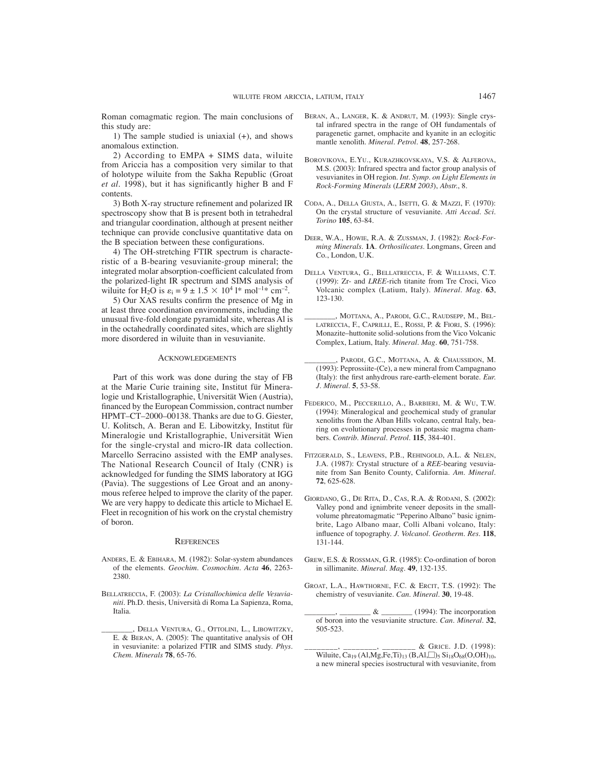Roman comagmatic region. The main conclusions of this study are:

1) The sample studied is uniaxial (+), and shows anomalous extinction.

2) According to EMPA + SIMS data, wiluite from Ariccia has a composition very similar to that of holotype wiluite from the Sakha Republic (Groat *et al.* 1998), but it has significantly higher B and F contents.

3) Both X-ray structure refinement and polarized IR spectroscopy show that B is present both in tetrahedral and triangular coordination, although at present neither technique can provide conclusive quantitative data on the B speciation between these configurations.

4) The OH-stretching FTIR spectrum is characteristic of a B-bearing vesuvianite-group mineral; the integrated molar absorption-coefficient calculated from the polarized-light IR spectrum and SIMS analysis of wiluite for H<sub>2</sub>O is  $\varepsilon_i = 9 \pm 1.5 \times 10^4$  l\* mol<sup>-1\*</sup> cm<sup>-2</sup>.

5) Our XAS results confirm the presence of Mg in at least three coordination environments, including the unusual five-fold elongate pyramidal site, whereas Al is in the octahedrally coordinated sites, which are slightly more disordered in wiluite than in vesuvianite.

### ACKNOWLEDGEMENTS

Part of this work was done during the stay of FB at the Marie Curie training site, Institut für Mineralogie und Kristallographie, Universität Wien (Austria), financed by the European Commission, contract number HPMT–CT–2000–00138. Thanks are due to G. Giester, U. Kolitsch, A. Beran and E. Libowitzky, Institut für Mineralogie und Kristallographie, Universität Wien for the single-crystal and micro-IR data collection. Marcello Serracino assisted with the EMP analyses. The National Research Council of Italy (CNR) is acknowledged for funding the SIMS laboratory at IGG (Pavia). The suggestions of Lee Groat and an anonymous referee helped to improve the clarity of the paper. We are very happy to dedicate this article to Michael E. Fleet in recognition of his work on the crystal chemistry of boron.

#### **REFERENCES**

- ANDERS, E. & EBIHARA, M. (1982): Solar-system abundances of the elements. *Geochim. Cosmochim. Acta* **46**, 2263- 2380.
- BELLATRECCIA, F. (2003): *La Cristallochimica delle Vesuvianiti*. Ph.D. thesis, Università di Roma La Sapienza, Roma, Italia.
- DELLA VENTURA, G., OTTOLINI, L., LIBOWITZKY, E. & BERAN, A. (2005): The quantitative analysis of OH in vesuvianite: a polarized FTIR and SIMS study. *Phys. Chem. Minerals* **78**, 65-76.
- BERAN, A., LANGER, K. & ANDRUT, M. (1993): Single crystal infrared spectra in the range of OH fundamentals of paragenetic garnet, omphacite and kyanite in an eclogitic mantle xenolith. *Mineral. Petrol.* **48**, 257-268.
- BOROVIKOVA, E.YU., KURAZHKOVSKAYA, V.S. & ALFEROVA, M.S. (2003): Infrared spectra and factor group analysis of vesuvianites in OH region. *Int. Symp. on Light Elements in Rock-Forming Minerals* (*LERM 2003*), *Abstr.*, 8.
- CODA, A., DELLA GIUSTA, A., ISETTI, G. & MAZZI, F. (1970): On the crystal structure of vesuvianite. *Atti Accad. Sci. Torino* **105**, 63-84.
- DEER, W.A., HOWIE, R.A. & ZUSSMAN, J. (1982): *Rock-Forming Minerals*. **1A**. *Orthosilicates*. Longmans, Green and Co., London, U.K.
- DELLA VENTURA, G., BELLATRECCIA, F. & WILLIAMS, C.T. (1999): Zr- and *LREE*-rich titanite from Tre Croci, Vico Volcanic complex (Latium, Italy). *Mineral. Mag.* **63**, 123-130.
- , MOTTANA, A., PARODI, G.C., RAUDSEPP, M., BEL-LATRECCIA, F., CAPRILLI, E., ROSSI, P. & FIORI, S. (1996): Monazite–huttonite solid-solutions from the Vico Volcanic Complex, Latium, Italy. *Mineral. Mag.* **60**, 751-758.
- PARODI, G.C., MOTTANA, A. & CHAUSSIDON, M. (1993): Peprossiite-(Ce), a new mineral from Campagnano (Italy): the first anhydrous rare-earth-element borate. *Eur*. *J. Mineral.* **5**, 53-58.
- FEDERICO, M., PECCERILLO, A., BARBIERI, M. & WU, T.W. (1994): Mineralogical and geochemical study of granular xenoliths from the Alban Hills volcano, central Italy, bearing on evolutionary processes in potassic magma chambers. *Contrib. Mineral. Petrol.* **115**, 384-401.
- FITZGERALD, S., LEAVENS, P.B., REHINGOLD, A.L. & NELEN, J.A. (1987): Crystal structure of a *REE*-bearing vesuvianite from San Benito County, California. *Am. Mineral.* **72**, 625-628.
- GIORDANO, G., DE RITA, D., CAS, R.A. & RODANI, S. (2002): Valley pond and ignimbrite veneer deposits in the smallvolume phreatomagmatic "Peperino Albano" basic ignimbrite, Lago Albano maar, Colli Albani volcano, Italy: influence of topography. *J. Volcanol. Geotherm. Res.* 118, 131-144.
- GREW, E.S. & ROSSMAN, G.R. (1985): Co-ordination of boron in sillimanite. *Mineral. Mag*. **49**, 132-135.
- GROAT, L.A., HAWTHORNE, F.C. & ERCIT, T.S. (1992): The chemistry of vesuvianite. *Can. Mineral.* **30**, 19-48.
- $& \_\_\_\_\_\_\$ (1994): The incorporation of boron into the vesuvianite structure. *Can. Mineral.* **32**, 505-523.
- \_\_\_\_\_\_\_\_, \_\_\_\_\_\_\_\_, \_\_\_\_\_\_\_\_ & GRICE. J.D. (1998): Wiluite, Ca<sub>19</sub> (Al,Mg,Fe,Ti)<sub>13</sub> (B,Al, $\Box$ )<sub>5</sub> Si<sub>18</sub>O<sub>68</sub>(O,OH)<sub>10</sub>, a new mineral species isostructural with vesuvianite, from